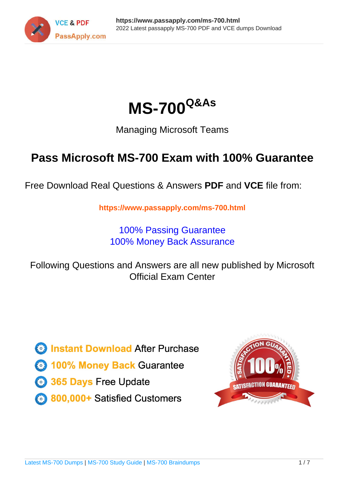



Managing Microsoft Teams

# **Pass Microsoft MS-700 Exam with 100% Guarantee**

Free Download Real Questions & Answers **PDF** and **VCE** file from:

**https://www.passapply.com/ms-700.html**

100% Passing Guarantee 100% Money Back Assurance

Following Questions and Answers are all new published by Microsoft Official Exam Center

**C** Instant Download After Purchase

- **83 100% Money Back Guarantee**
- 365 Days Free Update
- 800,000+ Satisfied Customers

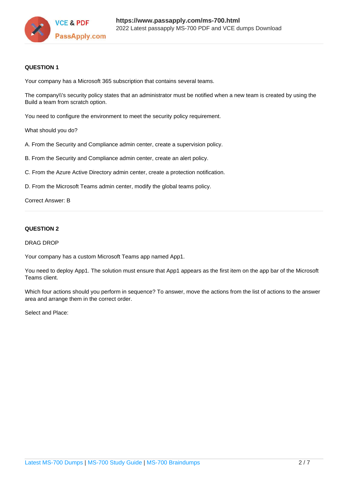

### **QUESTION 1**

Your company has a Microsoft 365 subscription that contains several teams.

The company\\'s security policy states that an administrator must be notified when a new team is created by using the Build a team from scratch option.

You need to configure the environment to meet the security policy requirement.

What should you do?

A. From the Security and Compliance admin center, create a supervision policy.

B. From the Security and Compliance admin center, create an alert policy.

C. From the Azure Active Directory admin center, create a protection notification.

D. From the Microsoft Teams admin center, modify the global teams policy.

#### Correct Answer: B

### **QUESTION 2**

DRAG DROP

Your company has a custom Microsoft Teams app named App1.

You need to deploy App1. The solution must ensure that App1 appears as the first item on the app bar of the Microsoft Teams client.

Which four actions should you perform in sequence? To answer, move the actions from the list of actions to the answer area and arrange them in the correct order.

Select and Place: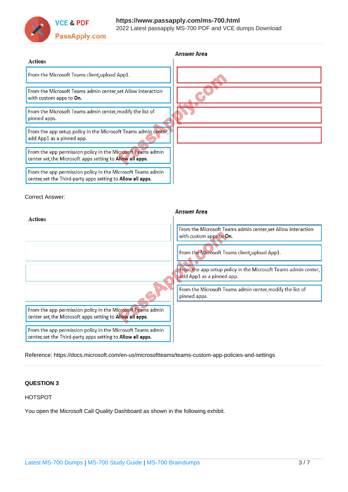

|                                                                                                                            | <b>Answer Area</b> |
|----------------------------------------------------------------------------------------------------------------------------|--------------------|
| <b>Actions</b>                                                                                                             |                    |
| From the Microsoft Teams client upload App1.                                                                               |                    |
| From the Microsoft Teams admin center, set Allow interaction<br>with custom apps to On.                                    |                    |
| From the Microsoft Teams admin center, modify the list of<br>pinned apps.                                                  |                    |
| From the app setup policy in the Microsoft Teams admin center,<br>add App1 as a pinned app.                                |                    |
| From the app permission policy in the Microsoft Teams admin<br>center set, the Microsoft apps setting to Allow all apps.   |                    |
| From the app permission policy in the Microsoft Teams admin<br>center, set the Third-party apps setting to Allow all apps. |                    |

### Correct Answer:

| <b>Answer Area</b>                                                                                                         |                                                                                                                                                                                                                                        |  |  |  |
|----------------------------------------------------------------------------------------------------------------------------|----------------------------------------------------------------------------------------------------------------------------------------------------------------------------------------------------------------------------------------|--|--|--|
| <b>Actions</b>                                                                                                             |                                                                                                                                                                                                                                        |  |  |  |
|                                                                                                                            | From the Microsoft Teams admin center set Allow interaction<br>with custom apps to On.<br>From the Microsoft Teams client, upload App1.<br>From the app setup policy in the Microsoft Teams admin center,<br>add App1 as a pinned app. |  |  |  |
|                                                                                                                            | From the Microsoft Teams admin center, modify the list of<br>pinned apps.                                                                                                                                                              |  |  |  |
| From the app permission policy in the Microsoft Teams admin<br>center set the Microsoft apps setting to Allow all apps.    |                                                                                                                                                                                                                                        |  |  |  |
| From the app permission policy in the Microsoft Teams admin<br>center, set the Third-party apps setting to Allow all apps. |                                                                                                                                                                                                                                        |  |  |  |

Reference: https://docs.microsoft.com/en-us/microsoftteams/teams-custom-app-policies-and-settings

## **QUESTION 3**

### HOTSPOT

You open the Microsoft Call Quality Dashboard as shown in the following exhibit.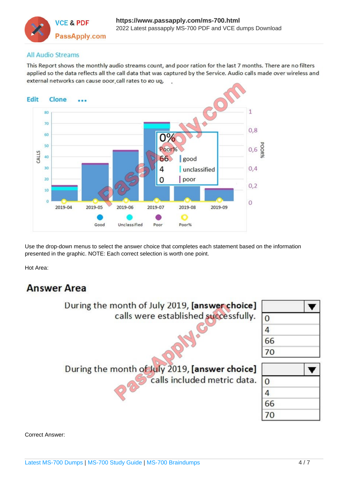

## **All Audio Streams**

This Report shows the monthly audio streams count, and poor ration for the last 7 months. There are no filters applied so the data reflects all the call data that was captured by the Service. Audio calls made over wireless and external networks can cause poor call rates to go up,



Use the drop-down menus to select the answer choice that completes each statement based on the information presented in the graphic. NOTE: Each correct selection is worth one point.

Hot Area:

# **Answer Area**



Correct Answer: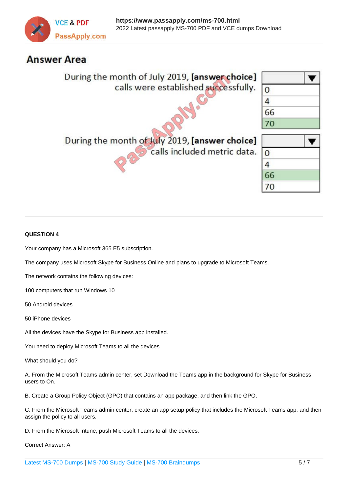

# **Answer Area**

| During the month of July 2019, [answer choice]                                |    |  |
|-------------------------------------------------------------------------------|----|--|
| calls were established successfully.                                          |    |  |
|                                                                               |    |  |
|                                                                               | 66 |  |
|                                                                               |    |  |
| During the month of July 2019, [answer choice]<br>calls included metric data. |    |  |
|                                                                               |    |  |
|                                                                               |    |  |
|                                                                               | 66 |  |
|                                                                               |    |  |

### **QUESTION 4**

Your company has a Microsoft 365 E5 subscription.

The company uses Microsoft Skype for Business Online and plans to upgrade to Microsoft Teams.

The network contains the following devices:

100 computers that run Windows 10

50 Android devices

50 iPhone devices

All the devices have the Skype for Business app installed.

You need to deploy Microsoft Teams to all the devices.

What should you do?

A. From the Microsoft Teams admin center, set Download the Teams app in the background for Skype for Business users to On.

B. Create a Group Policy Object (GPO) that contains an app package, and then link the GPO.

C. From the Microsoft Teams admin center, create an app setup policy that includes the Microsoft Teams app, and then assign the policy to all users.

D. From the Microsoft Intune, push Microsoft Teams to all the devices.

Correct Answer: A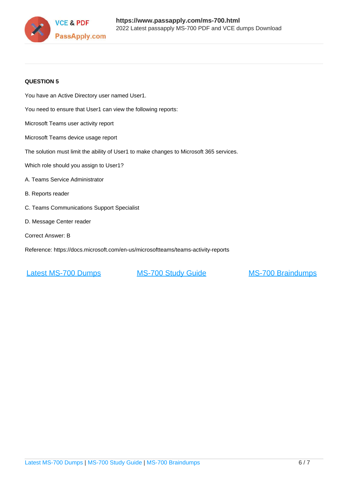

### **QUESTION 5**

You have an Active Directory user named User1. You need to ensure that User1 can view the following reports: Microsoft Teams user activity report Microsoft Teams device usage report The solution must limit the ability of User1 to make changes to Microsoft 365 services. Which role should you assign to User1? A. Teams Service Administrator B. Reports reader C. Teams Communications Support Specialist D. Message Center reader Correct Answer: B Reference: https://docs.microsoft.com/en-us/microsoftteams/teams-activity-reports

[Latest MS-700 Dumps](https://www.passapply.com/ms-700.html) [MS-700 Study Guide](https://www.passapply.com/ms-700.html) [MS-700 Braindumps](https://www.passapply.com/ms-700.html)